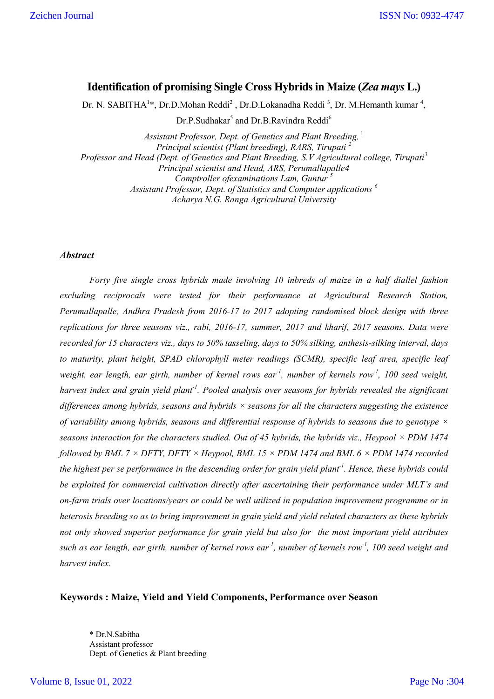# **Identification of promising Single Cross Hybrids in Maize (***Zea mays* **L.)**

Dr. N. SABITHA<sup>1\*</sup>, Dr.D.Mohan Reddi<sup>2</sup>, Dr.D.Lokanadha Reddi<sup>3</sup>, Dr. M.Hemanth kumar<sup>4</sup>,

Dr.P.Sudhakar<sup>5</sup> and Dr.B.Ravindra Reddi<sup>6</sup>

*Assistant Professor, Dept. of Genetics and Plant Breeding,* 1 *Principal scientist (Plant breeding), RARS, Tirupati <sup>2</sup> Professor and Head (Dept. of Genetics and Plant Breeding, S.V Agricultural college, Tirupati<sup>3</sup> Principal scientist and Head, ARS, Perumallapalle4 Comptroller ofexaminations Lam, Guntur <sup>5</sup> Assistant Professor, Dept. of Statistics and Computer applications <sup>6</sup> Acharya N.G. Ranga Agricultural University*

## *Abstract*

*Forty five single cross hybrids made involving 10 inbreds of maize in a half diallel fashion excluding reciprocals were tested for their performance at Agricultural Research Station, Perumallapalle, Andhra Pradesh from 2016-17 to 2017 adopting randomised block design with three replications for three seasons viz., rabi, 2016-17, summer, 2017 and kharif, 2017 seasons. Data were recorded for 15 characters viz., days to 50% tasseling, days to 50% silking, anthesis-silking interval, days to maturity, plant height, SPAD chlorophyll meter readings (SCMR), specific leaf area, specific leaf*  weight, ear length, ear girth, number of kernel rows ear<sup>-1</sup>, number of kernels row<sup>-1</sup>, 100 seed weight, *harvest index and grain yield plant-1 . Pooled analysis over seasons for hybrids revealed the significant differences among hybrids, seasons and hybrids × seasons for all the characters suggesting the existence of variability among hybrids, seasons and differential response of hybrids to seasons due to genotype × seasons interaction for the characters studied. Out of 45 hybrids, the hybrids viz., Heypool × PDM 1474 followed by BML 7*  $\times$  *DFTY, DFTY*  $\times$  *Heypool, BML 15*  $\times$  *PDM 1474 and BML 6*  $\times$  *PDM 1474 recorded the highest per se performance in the descending order for grain yield plant-1 . Hence, these hybrids could be exploited for commercial cultivation directly after ascertaining their performance under MLT's and on-farm trials over locations/years or could be well utilized in population improvement programme or in heterosis breeding so as to bring improvement in grain yield and yield related characters as these hybrids not only showed superior performance for grain yield but also for the most important yield attributes such as ear length, ear girth, number of kernel rows ear-1 , number of kernels row-1 , 100 seed weight and harvest index.*

### **Keywords : Maize, Yield and Yield Components, Performance over Season**

\* Dr.N.Sabitha Assistant professor Dept. of Genetics & Plant breeding

### Volume 8, Issue 01, 2022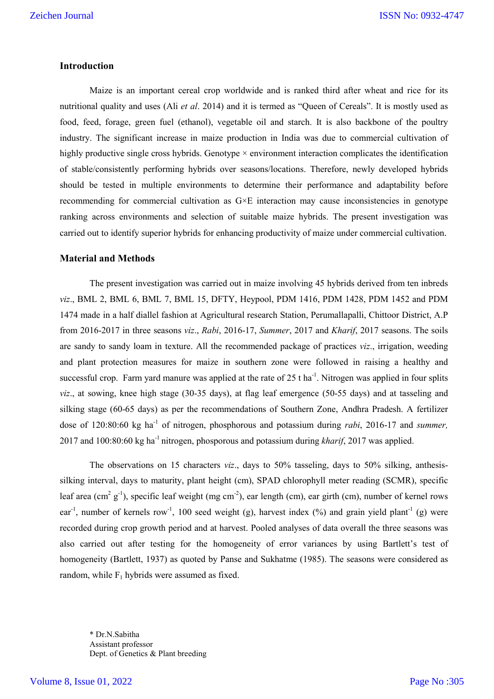### **Introduction**

Maize is an important cereal crop worldwide and is ranked third after wheat and rice for its nutritional quality and uses (Ali *et al*. 2014) and it is termed as "Queen of Cereals". It is mostly used as food, feed, forage, green fuel (ethanol), vegetable oil and starch. It is also backbone of the poultry industry. The significant increase in maize production in India was due to commercial cultivation of highly productive single cross hybrids. Genotype  $\times$  environment interaction complicates the identification of stable/consistently performing hybrids over seasons/locations. Therefore, newly developed hybrids should be tested in multiple environments to determine their performance and adaptability before recommending for commercial cultivation as G×E interaction may cause inconsistencies in genotype ranking across environments and selection of suitable maize hybrids. The present investigation was carried out to identify superior hybrids for enhancing productivity of maize under commercial cultivation.

### **Material and Methods**

The present investigation was carried out in maize involving 45 hybrids derived from ten inbreds *viz*., BML 2, BML 6, BML 7, BML 15, DFTY, Heypool, PDM 1416, PDM 1428, PDM 1452 and PDM 1474 made in a half diallel fashion at Agricultural research Station, Perumallapalli, Chittoor District, A.P from 2016-2017 in three seasons *viz*., *Rabi*, 2016-17, *Summer*, 2017 and *Kharif*, 2017 seasons. The soils are sandy to sandy loam in texture. All the recommended package of practices *viz*., irrigation, weeding and plant protection measures for maize in southern zone were followed in raising a healthy and successful crop. Farm yard manure was applied at the rate of  $25$  t ha<sup>-1</sup>. Nitrogen was applied in four splits *viz*., at sowing, knee high stage (30-35 days), at flag leaf emergence (50-55 days) and at tasseling and silking stage (60-65 days) as per the recommendations of Southern Zone, Andhra Pradesh. A fertilizer dose of 120:80:60 kg ha<sup>-1</sup> of nitrogen, phosphorous and potassium during *rabi*, 2016-17 and *summer*, 2017 and 100:80:60 kg ha-1 nitrogen, phosporous and potassium during *kharif*, 2017 was applied.

The observations on 15 characters *viz*., days to 50% tasseling, days to 50% silking, anthesissilking interval, days to maturity, plant height (cm), SPAD chlorophyll meter reading (SCMR), specific leaf area (cm<sup>2</sup> g<sup>-1</sup>), specific leaf weight (mg cm<sup>-2</sup>), ear length (cm), ear girth (cm), number of kernel rows ear<sup>-1</sup>, number of kernels row<sup>-1</sup>, 100 seed weight (g), harvest index (%) and grain yield plant<sup>-1</sup> (g) were recorded during crop growth period and at harvest. Pooled analyses of data overall the three seasons was also carried out after testing for the homogeneity of error variances by using Bartlett's test of homogeneity (Bartlett, 1937) as quoted by Panse and Sukhatme (1985). The seasons were considered as random, while  $F_1$  hybrids were assumed as fixed.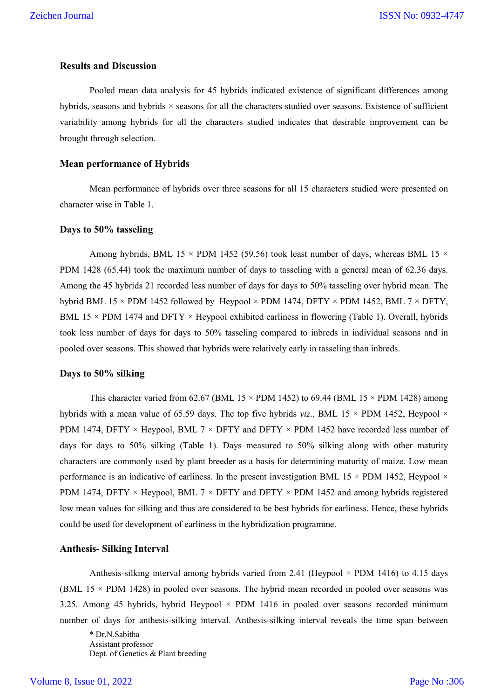## **Results and Discussion**

Pooled mean data analysis for 45 hybrids indicated existence of significant differences among hybrids, seasons and hybrids × seasons for all the characters studied over seasons. Existence of sufficient variability among hybrids for all the characters studied indicates that desirable improvement can be brought through selection.

### **Mean performance of Hybrids**

Mean performance of hybrids over three seasons for all 15 characters studied were presented on character wise in Table 1.

### **Days to 50% tasseling**

Among hybrids, BML 15  $\times$  PDM 1452 (59.56) took least number of days, whereas BML 15  $\times$ PDM 1428 (65.44) took the maximum number of days to tasseling with a general mean of 62.36 days. Among the 45 hybrids 21 recorded less number of days for days to 50% tasseling over hybrid mean. The hybrid BML 15  $\times$  PDM 1452 followed by Heypool  $\times$  PDM 1474, DFTY  $\times$  PDM 1452, BML 7  $\times$  DFTY, BML 15  $\times$  PDM 1474 and DFTY  $\times$  Heypool exhibited earliness in flowering (Table 1). Overall, hybrids took less number of days for days to 50% tasseling compared to inbreds in individual seasons and in pooled over seasons. This showed that hybrids were relatively early in tasseling than inbreds.

### **Days to 50% silking**

This character varied from 62.67 (BML 15  $\times$  PDM 1452) to 69.44 (BML 15  $\times$  PDM 1428) among hybrids with a mean value of 65.59 days. The top five hybrids *viz*., BML 15  $\times$  PDM 1452, Heypool  $\times$ PDM 1474, DFTY  $\times$  Heypool, BML 7  $\times$  DFTY and DFTY  $\times$  PDM 1452 have recorded less number of days for days to 50% silking (Table 1). Days measured to 50% silking along with other maturity characters are commonly used by plant breeder as a basis for determining maturity of maize. Low mean performance is an indicative of earliness. In the present investigation BML 15  $\times$  PDM 1452, Heypool  $\times$ PDM 1474, DFTY  $\times$  Heypool, BML 7  $\times$  DFTY and DFTY  $\times$  PDM 1452 and among hybrids registered low mean values for silking and thus are considered to be best hybrids for earliness. Hence, these hybrids could be used for development of earliness in the hybridization programme.

### **Anthesis- Silking Interval**

Anthesis-silking interval among hybrids varied from 2.41 (Heypool  $\times$  PDM 1416) to 4.15 days (BML 15 × PDM 1428) in pooled over seasons. The hybrid mean recorded in pooled over seasons was 3.25. Among 45 hybrids, hybrid Heypool  $\times$  PDM 1416 in pooled over seasons recorded minimum number of days for anthesis-silking interval. Anthesis-silking interval reveals the time span between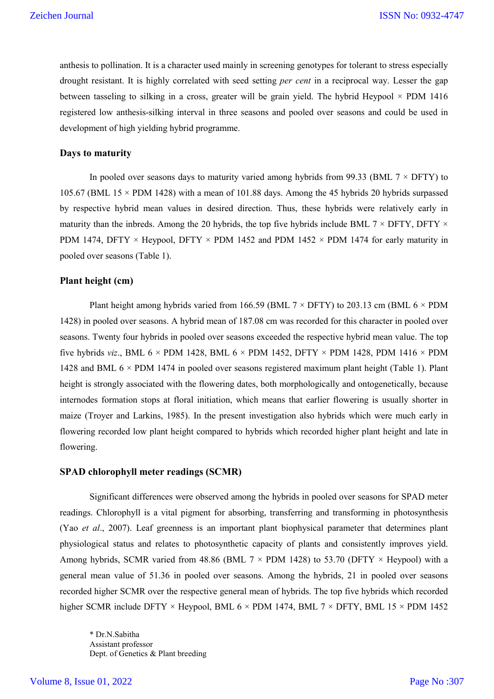anthesis to pollination. It is a character used mainly in screening genotypes for tolerant to stress especially drought resistant. It is highly correlated with seed setting *per cent* in a reciprocal way. Lesser the gap between tasseling to silking in a cross, greater will be grain yield. The hybrid Heypool  $\times$  PDM 1416 registered low anthesis-silking interval in three seasons and pooled over seasons and could be used in development of high yielding hybrid programme.

#### **Days to maturity**

In pooled over seasons days to maturity varied among hybrids from 99.33 (BML  $7 \times$  DFTY) to 105.67 (BML 15  $\times$  PDM 1428) with a mean of 101.88 days. Among the 45 hybrids 20 hybrids surpassed by respective hybrid mean values in desired direction. Thus, these hybrids were relatively early in maturity than the inbreds. Among the 20 hybrids, the top five hybrids include BML  $7 \times$  DFTY, DFTY  $\times$ PDM 1474, DFTY  $\times$  Heypool, DFTY  $\times$  PDM 1452 and PDM 1452  $\times$  PDM 1474 for early maturity in pooled over seasons (Table 1).

### **Plant height (cm)**

Plant height among hybrids varied from 166.59 (BML  $7 \times$  DFTY) to 203.13 cm (BML 6  $\times$  PDM 1428) in pooled over seasons. A hybrid mean of 187.08 cm was recorded for this character in pooled over seasons. Twenty four hybrids in pooled over seasons exceeded the respective hybrid mean value. The top five hybrids *viz.*, BML  $6 \times PDM$  1428, BML  $6 \times PDM$  1452, DFTY  $\times PDM$  1428, PDM 1416  $\times PDM$ 1428 and BML 6 × PDM 1474 in pooled over seasons registered maximum plant height (Table 1). Plant height is strongly associated with the flowering dates, both morphologically and ontogenetically, because internodes formation stops at floral initiation, which means that earlier flowering is usually shorter in maize (Troyer and Larkins, 1985). In the present investigation also hybrids which were much early in flowering recorded low plant height compared to hybrids which recorded higher plant height and late in flowering.

### **SPAD chlorophyll meter readings (SCMR)**

Significant differences were observed among the hybrids in pooled over seasons for SPAD meter readings. Chlorophyll is a vital pigment for absorbing, transferring and transforming in photosynthesis (Yao *et al*., 2007). Leaf greenness is an important plant biophysical parameter that determines plant physiological status and relates to photosynthetic capacity of plants and consistently improves yield. Among hybrids, SCMR varied from 48.86 (BML  $7 \times$  PDM 1428) to 53.70 (DFTY  $\times$  Heypool) with a general mean value of 51.36 in pooled over seasons. Among the hybrids, 21 in pooled over seasons recorded higher SCMR over the respective general mean of hybrids. The top five hybrids which recorded higher SCMR include DFTY  $\times$  Heypool, BML 6  $\times$  PDM 1474, BML 7  $\times$  DFTY, BML 15  $\times$  PDM 1452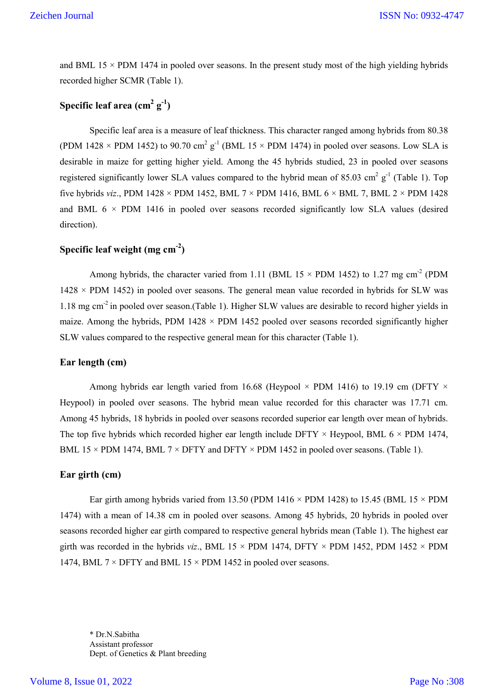and BML 15  $\times$  PDM 1474 in pooled over seasons. In the present study most of the high yielding hybrids recorded higher SCMR (Table 1).

# **Specific leaf area (cm2 g-1 )**

Specific leaf area is a measure of leaf thickness. This character ranged among hybrids from 80.38 (PDM 1428  $\times$  PDM 1452) to 90.70 cm<sup>2</sup> g<sup>-1</sup> (BML 15  $\times$  PDM 1474) in pooled over seasons. Low SLA is desirable in maize for getting higher yield. Among the 45 hybrids studied, 23 in pooled over seasons registered significantly lower SLA values compared to the hybrid mean of 85.03 cm<sup>2</sup> g<sup>-1</sup> (Table 1). Top five hybrids *viz*., PDM 1428 × PDM 1452, BML 7 × PDM 1416, BML 6 × BML 7, BML 2 × PDM 1428 and BML  $6 \times PDM$  1416 in pooled over seasons recorded significantly low SLA values (desired direction).

# **Specific leaf weight (mg cm-2 )**

Among hybrids, the character varied from 1.11 (BML 15  $\times$  PDM 1452) to 1.27 mg cm<sup>-2</sup> (PDM  $1428 \times PDM$  1452) in pooled over seasons. The general mean value recorded in hybrids for SLW was 1.18 mg cm-2 in pooled over season.(Table 1). Higher SLW values are desirable to record higher yields in maize. Among the hybrids, PDM 1428  $\times$  PDM 1452 pooled over seasons recorded significantly higher SLW values compared to the respective general mean for this character (Table 1).

### **Ear length (cm)**

Among hybrids ear length varied from 16.68 (Heypool  $\times$  PDM 1416) to 19.19 cm (DFTY  $\times$ Heypool) in pooled over seasons. The hybrid mean value recorded for this character was 17.71 cm. Among 45 hybrids, 18 hybrids in pooled over seasons recorded superior ear length over mean of hybrids. The top five hybrids which recorded higher ear length include DFTY  $\times$  Heypool, BML 6  $\times$  PDM 1474, BML 15  $\times$  PDM 1474, BML 7  $\times$  DFTY and DFTY  $\times$  PDM 1452 in pooled over seasons. (Table 1).

#### **Ear girth (cm)**

Ear girth among hybrids varied from 13.50 (PDM 1416  $\times$  PDM 1428) to 15.45 (BML 15  $\times$  PDM 1474) with a mean of 14.38 cm in pooled over seasons. Among 45 hybrids, 20 hybrids in pooled over seasons recorded higher ear girth compared to respective general hybrids mean (Table 1). The highest ear girth was recorded in the hybrids *viz*., BML 15  $\times$  PDM 1474, DFTY  $\times$  PDM 1452, PDM 1452  $\times$  PDM 1474, BML  $7 \times$  DFTY and BML 15  $\times$  PDM 1452 in pooled over seasons.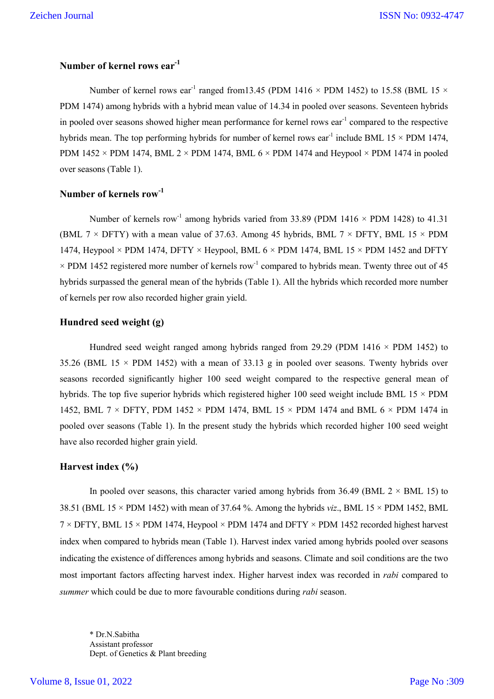## **Number of kernel rows ear-1**

Number of kernel rows ear<sup>-1</sup> ranged from 13.45 (PDM 1416  $\times$  PDM 1452) to 15.58 (BML 15  $\times$ PDM 1474) among hybrids with a hybrid mean value of 14.34 in pooled over seasons. Seventeen hybrids in pooled over seasons showed higher mean performance for kernel rows  $ear^{-1}$  compared to the respective hybrids mean. The top performing hybrids for number of kernel rows ear<sup>-1</sup> include BML 15  $\times$  PDM 1474, PDM 1452  $\times$  PDM 1474, BML 2  $\times$  PDM 1474, BML 6  $\times$  PDM 1474 and Heypool  $\times$  PDM 1474 in pooled over seasons (Table 1).

### **Number of kernels row-1**

Number of kernels row<sup>-1</sup> among hybrids varied from 33.89 (PDM 1416  $\times$  PDM 1428) to 41.31 (BML 7  $\times$  DFTY) with a mean value of 37.63. Among 45 hybrids, BML 7  $\times$  DFTY, BML 15  $\times$  PDM 1474, Heypool  $\times$  PDM 1474, DFTY  $\times$  Heypool, BML 6  $\times$  PDM 1474, BML 15  $\times$  PDM 1452 and DFTY  $\times$  PDM 1452 registered more number of kernels row<sup>-1</sup> compared to hybrids mean. Twenty three out of 45 hybrids surpassed the general mean of the hybrids (Table 1). All the hybrids which recorded more number of kernels per row also recorded higher grain yield.

### **Hundred seed weight (g)**

Hundred seed weight ranged among hybrids ranged from 29.29 (PDM 1416  $\times$  PDM 1452) to 35.26 (BML 15  $\times$  PDM 1452) with a mean of 33.13 g in pooled over seasons. Twenty hybrids over seasons recorded significantly higher 100 seed weight compared to the respective general mean of hybrids. The top five superior hybrids which registered higher 100 seed weight include BML  $15 \times PDM$ 1452, BML 7  $\times$  DFTY, PDM 1452  $\times$  PDM 1474, BML 15  $\times$  PDM 1474 and BML 6  $\times$  PDM 1474 in pooled over seasons (Table 1). In the present study the hybrids which recorded higher 100 seed weight have also recorded higher grain yield.

### **Harvest index (%)**

In pooled over seasons, this character varied among hybrids from  $36.49$  (BML  $2 \times$  BML 15) to 38.51 (BML 15 × PDM 1452) with mean of 37.64 %. Among the hybrids *viz*., BML 15 × PDM 1452, BML  $7 \times$  DFTY, BML 15  $\times$  PDM 1474, Heypool  $\times$  PDM 1474 and DFTY  $\times$  PDM 1452 recorded highest harvest index when compared to hybrids mean (Table 1). Harvest index varied among hybrids pooled over seasons indicating the existence of differences among hybrids and seasons. Climate and soil conditions are the two most important factors affecting harvest index. Higher harvest index was recorded in *rabi* compared to *summer* which could be due to more favourable conditions during *rabi* season.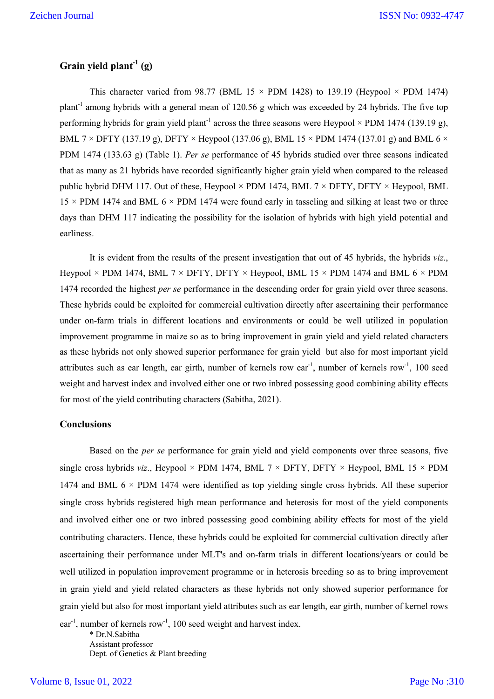## **Grain yield plant-1 (g)**

This character varied from 98.77 (BML 15  $\times$  PDM 1428) to 139.19 (Heypool  $\times$  PDM 1474) plant<sup>-1</sup> among hybrids with a general mean of 120.56 g which was exceeded by 24 hybrids. The five top performing hybrids for grain yield plant<sup>-1</sup> across the three seasons were Heypool  $\times$  PDM 1474 (139.19 g), BML 7  $\times$  DFTY (137.19 g), DFTY  $\times$  Heypool (137.06 g), BML 15  $\times$  PDM 1474 (137.01 g) and BML 6  $\times$ PDM 1474 (133.63 g) (Table 1). *Per se* performance of 45 hybrids studied over three seasons indicated that as many as 21 hybrids have recorded significantly higher grain yield when compared to the released public hybrid DHM 117. Out of these, Heypool  $\times$  PDM 1474, BML 7  $\times$  DFTY, DFTY  $\times$  Heypool, BML  $15 \times PDM$  1474 and BML 6  $\times PDM$  1474 were found early in tasseling and silking at least two or three days than DHM 117 indicating the possibility for the isolation of hybrids with high yield potential and earliness.

It is evident from the results of the present investigation that out of 45 hybrids, the hybrids *viz*., Heypool  $\times$  PDM 1474, BML 7  $\times$  DFTY, DFTY  $\times$  Heypool, BML 15  $\times$  PDM 1474 and BML 6  $\times$  PDM 1474 recorded the highest *per se* performance in the descending order for grain yield over three seasons. These hybrids could be exploited for commercial cultivation directly after ascertaining their performance under on-farm trials in different locations and environments or could be well utilized in population improvement programme in maize so as to bring improvement in grain yield and yield related characters as these hybrids not only showed superior performance for grain yield but also for most important yield attributes such as ear length, ear girth, number of kernels row ear<sup>-1</sup>, number of kernels row<sup>-1</sup>, 100 seed weight and harvest index and involved either one or two inbred possessing good combining ability effects for most of the yield contributing characters (Sabitha, 2021).

### **Conclusions**

Based on the *per se* performance for grain yield and yield components over three seasons, five single cross hybrids *viz.*, Heypool × PDM 1474, BML 7 × DFTY, DFTY × Heypool, BML 15 × PDM 1474 and BML  $6 \times$  PDM 1474 were identified as top yielding single cross hybrids. All these superior single cross hybrids registered high mean performance and heterosis for most of the yield components and involved either one or two inbred possessing good combining ability effects for most of the yield contributing characters. Hence, these hybrids could be exploited for commercial cultivation directly after ascertaining their performance under MLT's and on-farm trials in different locations/years or could be well utilized in population improvement programme or in heterosis breeding so as to bring improvement in grain yield and yield related characters as these hybrids not only showed superior performance for grain yield but also for most important yield attributes such as ear length, ear girth, number of kernel rows ear<sup>-1</sup>, number of kernels row<sup>-1</sup>, 100 seed weight and harvest index.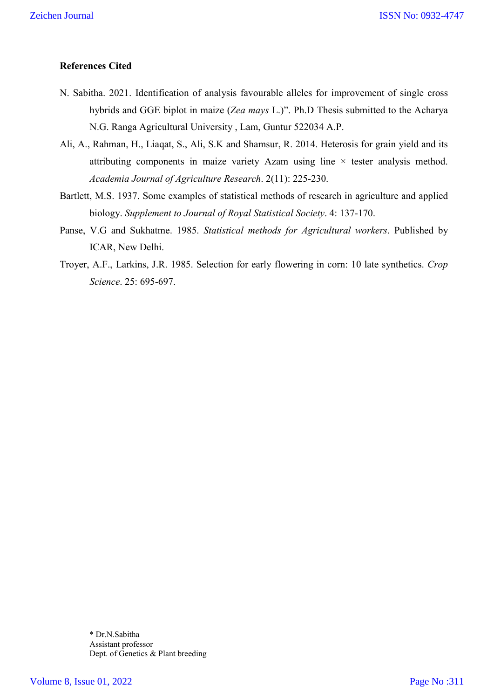## **References Cited**

- N. Sabitha. 2021. Identification of analysis favourable alleles for improvement of single cross hybrids and GGE biplot in maize (*Zea mays* L.)". Ph.D Thesis submitted to the Acharya N.G. Ranga Agricultural University , Lam, Guntur 522034 A.P.
- Ali, A., Rahman, H., Liaqat, S., Ali, S.K and Shamsur, R. 2014. Heterosis for grain yield and its attributing components in maize variety Azam using line  $\times$  tester analysis method. *Academia Journal of Agriculture Research*. 2(11): 225-230.
- Bartlett, M.S. 1937. Some examples of statistical methods of research in agriculture and applied biology. *Supplement to Journal of Royal Statistical Society*. 4: 137-170.
- Panse, V.G and Sukhatme. 1985. *Statistical methods for Agricultural workers*. Published by ICAR, New Delhi.
- Troyer, A.F., Larkins, J.R. 1985. Selection for early flowering in corn: 10 late synthetics. *Crop Science*. 25: 695-697.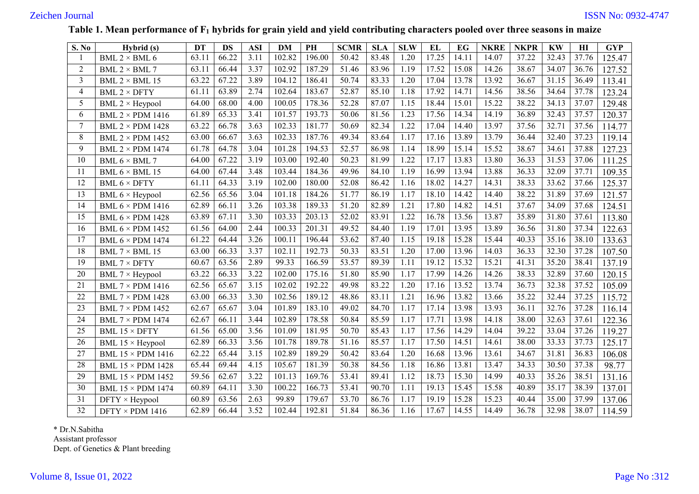## **Table 1. Mean performance of F1 hybrids for grain yield and yield contributing characters pooled over three seasons in maize**

| <b>S. No</b>   | Hybrid (s)               | <b>DT</b> | <b>DS</b> | <b>ASI</b> | <b>DM</b> | PH     | <b>SCMR</b> | <b>SLA</b> | <b>SLW</b> | EL    | <b>EG</b> | <b>NKRE</b> | <b>NKPR</b> | <b>KW</b> | H1    | <b>GYP</b> |
|----------------|--------------------------|-----------|-----------|------------|-----------|--------|-------------|------------|------------|-------|-----------|-------------|-------------|-----------|-------|------------|
|                | BML 2 $\times$ BML 6     | 63.11     | 66.22     | 3.11       | 102.82    | 196.00 | 50.42       | 83.48      | 1.20       | 17.25 | 14.11     | 14.07       | 37.22       | 32.43     | 37.76 | 125.47     |
| $\overline{2}$ | BML $2 \times$ BML 7     | 63.11     | 66.44     | 3.37       | 102.92    | 187.29 | 51.46       | 83.96      | 1.19       | 17.52 | 15.08     | 14.26       | 38.67       | 34.07     | 36.76 | 127.52     |
| 3              | BML $2 \times$ BML 15    | 63.22     | 67.22     | 3.89       | 104.12    | 186.41 | 50.74       | 83.33      | 1.20       | 17.04 | 13.78     | 13.92       | 36.67       | 31.15     | 36.49 | 113.41     |
| $\overline{4}$ | BML $2 \times$ DFTY      | 61.11     | 63.89     | 2.74       | 102.64    | 183.67 | 52.87       | 85.10      | 1.18       | 17.92 | 14.71     | 14.56       | 38.56       | 34.64     | 37.78 | 123.24     |
| 5              | BML $2 \times$ Heypool   | 64.00     | 68.00     | 4.00       | 100.05    | 178.36 | 52.28       | 87.07      | 1.15       | 18.44 | 15.01     | 15.22       | 38.22       | 34.13     | 37.07 | 129.48     |
| 6              | BML $2 \times PDM$ 1416  | 61.89     | 65.33     | 3.41       | 101.57    | 193.73 | 50.06       | 81.56      | 1.23       | 17.56 | 14.34     | 14.19       | 36.89       | 32.43     | 37.57 | 120.37     |
| $\overline{7}$ | <b>BML 2 × PDM 1428</b>  | 63.22     | 66.78     | 3.63       | 102.33    | 181.77 | 50.69       | 82.34      | 1.22       | 17.04 | 14.40     | 13.97       | 37.56       | 32.71     | 37.56 | 114.77     |
| 8              | BML $2 \times PDM$ 1452  | 63.00     | 66.67     | 3.63       | 102.33    | 187.76 | 49.34       | 83.64      | 1.17       | 17.16 | 13.89     | 13.79       | 36.44       | 32.40     | 37.23 | 119.14     |
| 9              | <b>BML 2 × PDM 1474</b>  | 61.78     | 64.78     | 3.04       | 101.28    | 194.53 | 52.57       | 86.98      | 1.14       | 18.99 | 15.14     | 15.52       | 38.67       | 34.61     | 37.88 | 127.23     |
| 10             | BML $6 \times$ BML 7     | 64.00     | 67.22     | 3.19       | 103.00    | 192.40 | 50.23       | 81.99      | 1.22       | 17.17 | 13.83     | 13.80       | 36.33       | 31.53     | 37.06 | 111.25     |
| 11             | BML $6 \times$ BML 15    | 64.00     | 67.44     | 3.48       | 103.44    | 184.36 | 49.96       | 84.10      | 1.19       | 16.99 | 13.94     | 13.88       | 36.33       | 32.09     | 37.71 | 109.35     |
| 12             | BML $6 \times DFTY$      | 61.11     | 64.33     | 3.19       | 102.00    | 180.00 | 52.08       | 86.42      | 1.16       | 18.02 | 14.27     | 14.31       | 38.33       | 33.62     | 37.66 | 125.37     |
| 13             | BML $6 \times$ Heypool   | 62.56     | 65.56     | 3.04       | 101.18    | 184.26 | 51.77       | 86.19      | 1.17       | 18.10 | 14.42     | 14.40       | 38.22       | 31.89     | 37.69 | 121.57     |
| 14             | BML $6 \times PDM$ 1416  | 62.89     | 66.11     | 3.26       | 103.38    | 189.33 | 51.20       | 82.89      | 1.21       | 17.80 | 14.82     | 14.51       | 37.67       | 34.09     | 37.68 | 124.51     |
| 15             | BML $6 \times PDM$ 1428  | 63.89     | 67.11     | 3.30       | 103.33    | 203.13 | 52.02       | 83.91      | 1.22       | 16.78 | 13.56     | 13.87       | 35.89       | 31.80     | 37.61 | 113.80     |
| 16             | BML 6 × PDM 1452         | 61.56     | 64.00     | 2.44       | 100.33    | 201.31 | 49.52       | 84.40      | 1.19       | 17.01 | 13.95     | 13.89       | 36.56       | 31.80     | 37.34 | 122.63     |
| 17             | <b>BML 6 × PDM 1474</b>  | 61.22     | 64.44     | 3.26       | 100.11    | 196.44 | 53.62       | 87.40      | 1.15       | 19.18 | 15.28     | 15.44       | 40.33       | 35.16     | 38.10 | 133.63     |
| 18             | BML $7 \times$ BML 15    | 63.00     | 66.33     | 3.37       | 102.11    | 192.73 | 50.33       | 83.51      | 1.20       | 17.00 | 13.96     | 14.03       | 36.33       | 32.30     | 37.28 | 107.50     |
| 19             | <b>BML 7 × DFTY</b>      | 60.67     | 63.56     | 2.89       | 99.33     | 166.59 | 53.57       | 89.39      | 1.11       | 19.12 | 15.32     | 15.21       | 41.31       | 35.20     | 38.41 | 137.19     |
| 20             | BML $7 \times$ Heypool   | 63.22     | 66.33     | 3.22       | 102.00    | 175.16 | 51.80       | 85.90      | 1.17       | 17.99 | 14.26     | 14.26       | 38.33       | 32.89     | 37.60 | 120.15     |
| 21             | BML $7 \times PDM$ 1416  | 62.56     | 65.67     | 3.15       | 102.02    | 192.22 | 49.98       | 83.22      | 1.20       | 17.16 | 13.52     | 13.74       | 36.73       | 32.38     | 37.52 | 105.09     |
| 22             | BML $7 \times PDM$ 1428  | 63.00     | 66.33     | 3.30       | 102.56    | 189.12 | 48.86       | 83.11      | 1.21       | 16.96 | 13.82     | 13.66       | 35.22       | 32.44     | 37.25 | 115.72     |
| 23             | BML $7 \times PDM$ 1452  | 62.67     | 65.67     | 3.04       | 101.89    | 183.10 | 49.02       | 84.70      | 1.17       | 17.14 | 13.98     | 13.93       | 36.11       | 32.76     | 37.28 | 116.14     |
| 24             | <b>BML 7 × PDM 1474</b>  | 62.67     | 66.11     | 3.44       | 102.89    | 178.58 | 50.84       | 85.59      | 1.17       | 17.71 | 13.98     | 14.18       | 38.00       | 32.63     | 37.61 | 122.36     |
| 25             | <b>BML 15 × DFTY</b>     | 61.56     | 65.00     | 3.56       | 101.09    | 181.95 | 50.70       | 85.43      | 1.17       | 17.56 | 14.29     | 14.04       | 39.22       | 33.04     | 37.26 | 119.27     |
| 26             | BML $15 \times$ Heypool  | 62.89     | 66.33     | 3.56       | 101.78    | 189.78 | 51.16       | 85.57      | 1.17       | 17.50 | 14.51     | 14.61       | 38.00       | 33.33     | 37.73 | 125.17     |
| 27             | <b>BML 15 × PDM 1416</b> | 62.22     | 65.44     | 3.15       | 102.89    | 189.29 | 50.42       | 83.64      | 1.20       | 16.68 | 13.96     | 13.61       | 34.67       | 31.81     | 36.83 | 106.08     |
| 28             | <b>BML 15 × PDM 1428</b> | 65.44     | 69.44     | 4.15       | 105.67    | 181.39 | 50.38       | 84.56      | 1.18       | 16.86 | 13.81     | 13.47       | 34.33       | 30.50     | 37.38 | 98.77      |
| 29             | <b>BML 15 × PDM 1452</b> | 59.56     | 62.67     | 3.22       | 101.13    | 169.76 | 53.41       | 89.41      | 1.12       | 18.73 | 15.30     | 14.99       | 40.33       | 35.26     | 38.51 | 131.16     |
| 30             | <b>BML 15 × PDM 1474</b> | 60.89     | 64.11     | 3.30       | 100.22    | 166.73 | 53.41       | 90.70      | 1.11       | 19.13 | 15.45     | 15.58       | 40.89       | 35.17     | 38.39 | 137.01     |
| 31             | $DFTY \times Heypool$    | 60.89     | 63.56     | 2.63       | 99.89     | 179.67 | 53.70       | 86.76      | 1.17       | 19.19 | 15.28     | 15.23       | 40.44       | 35.00     | 37.99 | 137.06     |
| 32             | $DFTY \times PDM$ 1416   | 62.89     | 66.44     | 3.52       | 102.44    | 192.81 | 51.84       | 86.36      | 1.16       | 17.67 | 14.55     | 14.49       | 36.78       | 32.98     | 38.07 | 114.59     |

\* Dr.N.Sabitha

Assistant professor

Dept. of Genetics & Plant breeding